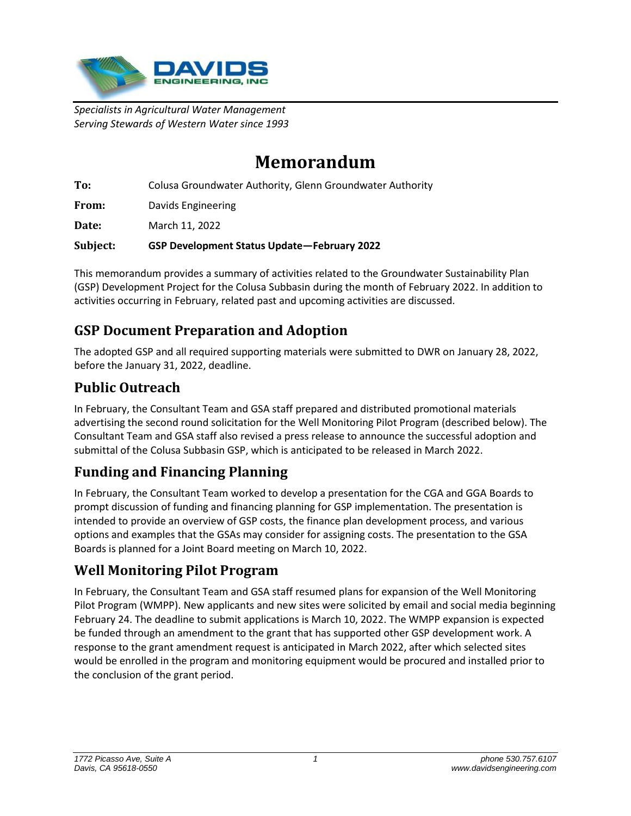

*Specialists in Agricultural Water Management Serving Stewards of Western Water since 1993*

# **Memorandum**

**To:** Colusa Groundwater Authority, Glenn Groundwater Authority

**From:** Davids Engineering

**Date:** March 11, 2022

**Subject: GSP Development Status Update—February 2022**

This memorandum provides a summary of activities related to the Groundwater Sustainability Plan (GSP) Development Project for the Colusa Subbasin during the month of February 2022. In addition to activities occurring in February, related past and upcoming activities are discussed.

## **GSP Document Preparation and Adoption**

The adopted GSP and all required supporting materials were submitted to DWR on January 28, 2022, before the January 31, 2022, deadline.

### **Public Outreach**

In February, the Consultant Team and GSA staff prepared and distributed promotional materials advertising the second round solicitation for the Well Monitoring Pilot Program (described below). The Consultant Team and GSA staff also revised a press release to announce the successful adoption and submittal of the Colusa Subbasin GSP, which is anticipated to be released in March 2022.

## **Funding and Financing Planning**

In February, the Consultant Team worked to develop a presentation for the CGA and GGA Boards to prompt discussion of funding and financing planning for GSP implementation. The presentation is intended to provide an overview of GSP costs, the finance plan development process, and various options and examples that the GSAs may consider for assigning costs. The presentation to the GSA Boards is planned for a Joint Board meeting on March 10, 2022.

### **Well Monitoring Pilot Program**

In February, the Consultant Team and GSA staff resumed plans for expansion of the Well Monitoring Pilot Program (WMPP). New applicants and new sites were solicited by email and social media beginning February 24. The deadline to submit applications is March 10, 2022. The WMPP expansion is expected be funded through an amendment to the grant that has supported other GSP development work. A response to the grant amendment request is anticipated in March 2022, after which selected sites would be enrolled in the program and monitoring equipment would be procured and installed prior to the conclusion of the grant period.